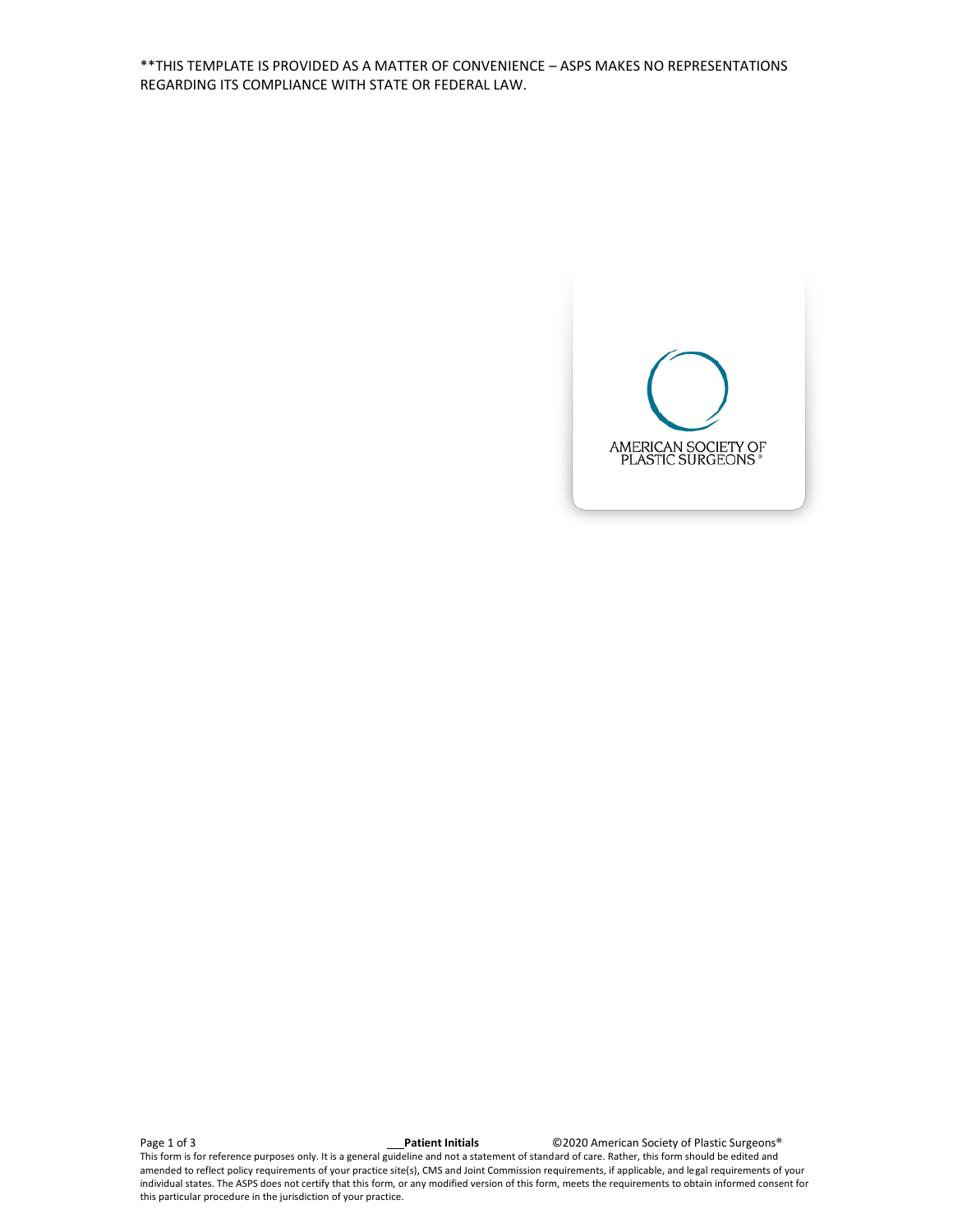\*\*THIS TEMPLATE IS PROVIDED AS A MATTER OF CONVENIENCE – ASPS MAKES NO REPRESENTATIONS REGARDING ITS COMPLIANCE WITH STATE OR FEDERAL LAW.



Page 1 of 3 **Patient Initials** ©2020 American Society of Plastic Surgeons® This form is for reference purposes only. It is a general guideline and not a statement of standard of care. Rather, this form should be edited and amended to reflect policy requirements of your practice site(s), CMS and Joint Commission requirements, if applicable, and legal requirements of your individual states. The ASPS does not certify that this form, or any modified version of this form, meets the requirements to obtain informed consent for this particular procedure in the jurisdiction of your practice.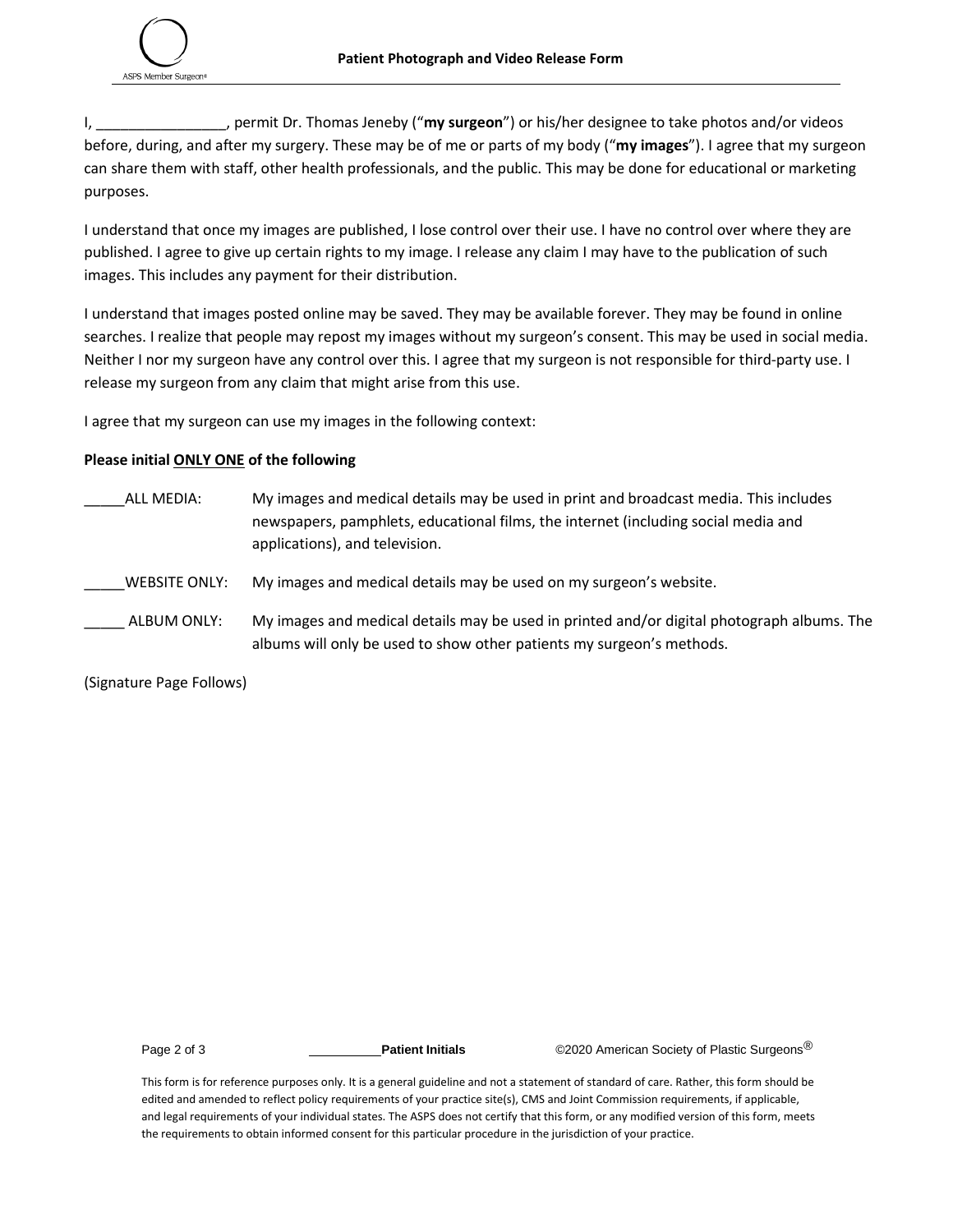

I, \_\_\_\_\_\_\_\_\_\_\_\_\_\_\_\_, permit Dr. Thomas Jeneby ("**my surgeon**") or his/her designee to take photos and/or videos before, during, and after my surgery. These may be of me or parts of my body ("**my images**"). I agree that my surgeon can share them with staff, other health professionals, and the public. This may be done for educational or marketing purposes.

I understand that once my images are published, I lose control over their use. I have no control over where they are published. I agree to give up certain rights to my image. I release any claim I may have to the publication of such images. This includes any payment for their distribution.

I understand that images posted online may be saved. They may be available forever. They may be found in online searches. I realize that people may repost my images without my surgeon's consent. This may be used in social media. Neither I nor my surgeon have any control over this. I agree that my surgeon is not responsible for third-party use. I release my surgeon from any claim that might arise from this use.

I agree that my surgeon can use my images in the following context:

## **Please initial ONLY ONE of the following**

- ALL MEDIA: My images and medical details may be used in print and broadcast media. This includes newspapers, pamphlets, educational films, the internet (including social media and applications), and television.
- \_\_\_\_\_WEBSITE ONLY: My images and medical details may be used on my surgeon's website.
- \_\_\_\_\_ ALBUM ONLY: My images and medical details may be used in printed and/or digital photograph albums. The albums will only be used to show other patients my surgeon's methods.

(Signature Page Follows)

Page 2 of 3 **Patient Initials** ©2020 American Society of Plastic Surgeons<sup>®</sup>

This form is for reference purposes only. It is a general guideline and not a statement of standard of care. Rather, this form should be edited and amended to reflect policy requirements of your practice site(s), CMS and Joint Commission requirements, if applicable, and legal requirements of your individual states. The ASPS does not certify that this form, or any modified version of this form, meets the requirements to obtain informed consent for this particular procedure in the jurisdiction of your practice.